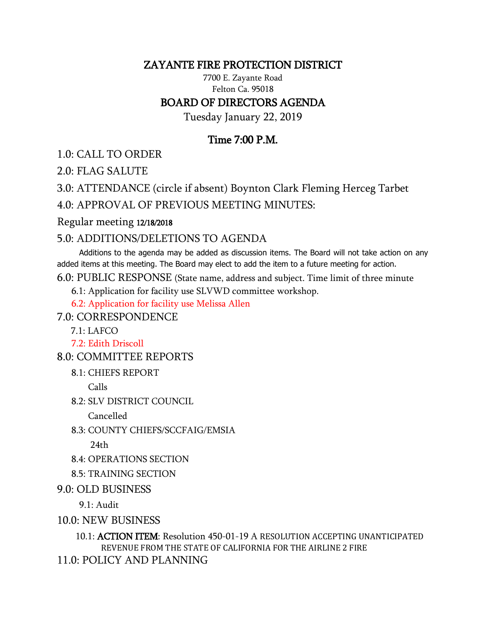## ZAYANTE FIRE PROTECTION DISTRICT

7700 E. Zayante Road Felton Ca. 95018

## BOARD OF DIRECTORS AGENDA

Tuesday January 22, 2019

## Time 7:00 P.M.

1.0: CALL TO ORDER

2.0: FLAG SALUTE

3.0: ATTENDANCE (circle if absent) Boynton Clark Fleming Herceg Tarbet

4.0: APPROVAL OF PREVIOUS MEETING MINUTES:

Regular meeting 12/18/2018

## 5.0: ADDITIONS/DELETIONS TO AGENDA

 Additions to the agenda may be added as discussion items. The Board will not take action on any added items at this meeting. The Board may elect to add the item to a future meeting for action.

6.0: PUBLIC RESPONSE (State name, address and subject. Time limit of three minute

6.1: Application for facility use SLVWD committee workshop.

6.2: Application for facility use Melissa Allen

7.0: CORRESPONDENCE

7.1: LAFCO

7.2: Edith Driscoll

8.0: COMMITTEE REPORTS

8.1: CHIEFS REPORT

Calls

8.2: SLV DISTRICT COUNCIL

Cancelled

8.3: COUNTY CHIEFS/SCCFAIG/EMSIA

 $24th$ 

- 8.4: OPERATIONS SECTION
- 8.5: TRAINING SECTION
- 9.0: OLD BUSINESS

9.1: Audit

10.0: NEW BUSINESS

 10.1: ACTION ITEM: Resolution 450-01-19 A RESOLUTION ACCEPTING UNANTICIPATED REVENUE FROM THE STATE OF CALIFORNIA FOR THE AIRLINE 2 FIRE

11.0: POLICY AND PLANNING